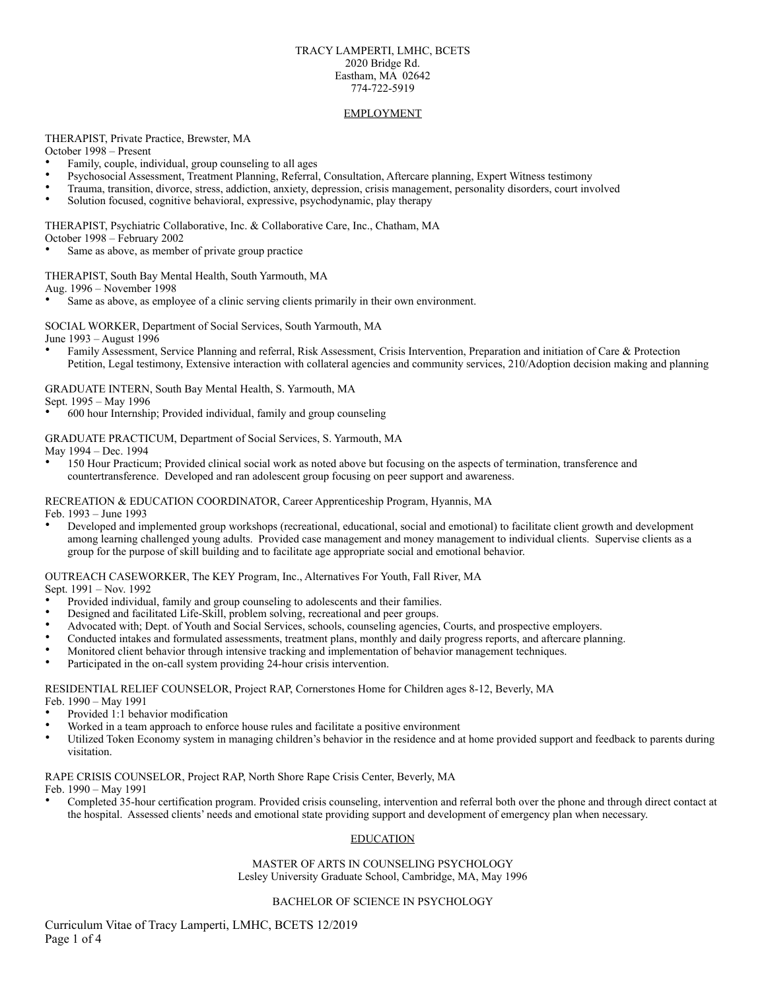#### TRACY LAMPERTI, LMHC, BCETS 2020 Bridge Rd. Eastham, MA 02642 774-722-5919

#### EMPLOYMENT

THERAPIST, Private Practice, Brewster, MA

October 1998 – Present

- Family, couple, individual, group counseling to all ages
- Psychosocial Assessment, Treatment Planning, Referral, Consultation, Aftercare planning, Expert Witness testimony
- Trauma, transition, divorce, stress, addiction, anxiety, depression, crisis management, personality disorders, court involved
- Solution focused, cognitive behavioral, expressive, psychodynamic, play therapy

#### THERAPIST, Psychiatric Collaborative, Inc. & Collaborative Care, Inc., Chatham, MA October 1998 – February 2002

Same as above, as member of private group practice

# THERAPIST, South Bay Mental Health, South Yarmouth, MA

Aug. 1996 – November 1998

Same as above, as employee of a clinic serving clients primarily in their own environment.

SOCIAL WORKER, Department of Social Services, South Yarmouth, MA

June 1993 – August 1996

• Family Assessment, Service Planning and referral, Risk Assessment, Crisis Intervention, Preparation and initiation of Care & Protection Petition, Legal testimony, Extensive interaction with collateral agencies and community services, 210/Adoption decision making and planning

### GRADUATE INTERN, South Bay Mental Health, S. Yarmouth, MA

Sept. 1995 – May 1996

• 600 hour Internship; Provided individual, family and group counseling

GRADUATE PRACTICUM, Department of Social Services, S. Yarmouth, MA

May 1994 – Dec. 1994

• 150 Hour Practicum; Provided clinical social work as noted above but focusing on the aspects of termination, transference and countertransference. Developed and ran adolescent group focusing on peer support and awareness.

RECREATION & EDUCATION COORDINATOR, Career Apprenticeship Program, Hyannis, MA

Feb. 1993 – June 1993

• Developed and implemented group workshops (recreational, educational, social and emotional) to facilitate client growth and development among learning challenged young adults. Provided case management and money management to individual clients. Supervise clients as a group for the purpose of skill building and to facilitate age appropriate social and emotional behavior.

OUTREACH CASEWORKER, The KEY Program, Inc., Alternatives For Youth, Fall River, MA

Sept. 1991 – Nov. 1992

- Provided individual, family and group counseling to adolescents and their families.
- Designed and facilitated Life-Skill, problem solving, recreational and peer groups.
- Advocated with; Dept. of Youth and Social Services, schools, counseling agencies, Courts, and prospective employers.
- Conducted intakes and formulated assessments, treatment plans, monthly and daily progress reports, and aftercare planning.
- Monitored client behavior through intensive tracking and implementation of behavior management techniques.
- Participated in the on-call system providing 24-hour crisis intervention.

RESIDENTIAL RELIEF COUNSELOR, Project RAP, Cornerstones Home for Children ages 8-12, Beverly, MA

Feb. 1990 – May 1991

- Provided 1:1 behavior modification
- Worked in a team approach to enforce house rules and facilitate a positive environment
- Utilized Token Economy system in managing children's behavior in the residence and at home provided support and feedback to parents during visitation.

RAPE CRISIS COUNSELOR, Project RAP, North Shore Rape Crisis Center, Beverly, MA

Feb. 1990 – May 1991

• Completed 35-hour certification program. Provided crisis counseling, intervention and referral both over the phone and through direct contact at the hospital. Assessed clients' needs and emotional state providing support and development of emergency plan when necessary.

# **EDUCATION**

MASTER OF ARTS IN COUNSELING PSYCHOLOGY Lesley University Graduate School, Cambridge, MA, May 1996

# BACHELOR OF SCIENCE IN PSYCHOLOGY

Curriculum Vitae of Tracy Lamperti, LMHC, BCETS 12/2019 Page 1 of 4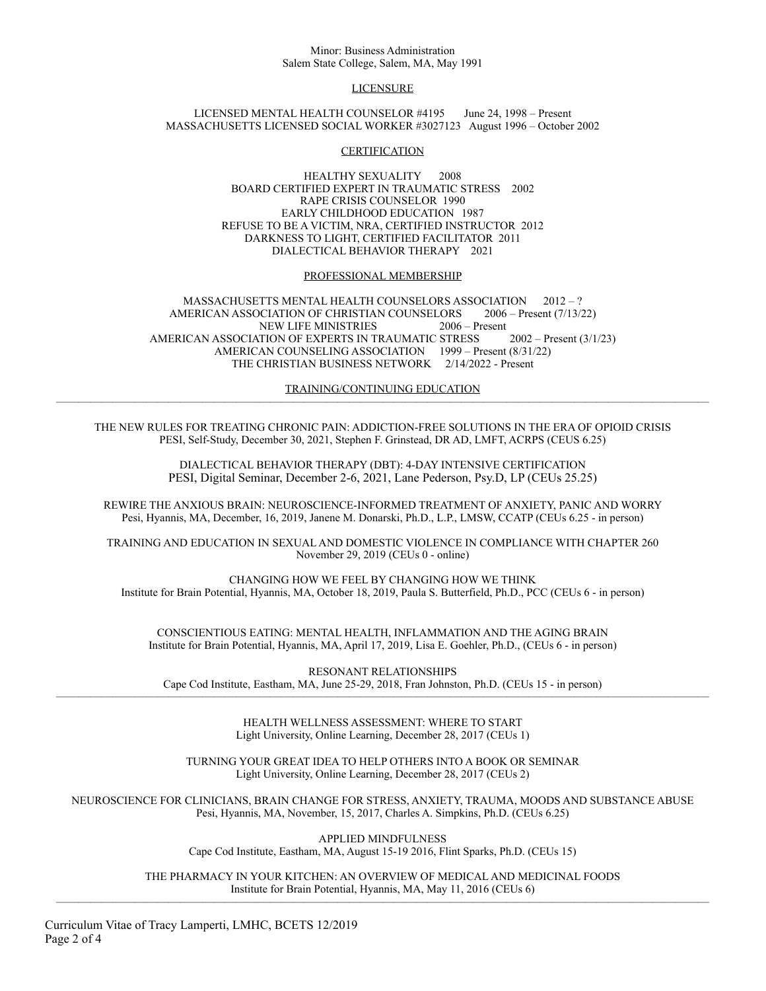#### Minor: Business Administration Salem State College, Salem, MA, May 1991

# **LICENSURE**

LICENSED MENTAL HEALTH COUNSELOR #4195 June 24, 1998 – Present MASSACHUSETTS LICENSED SOCIAL WORKER #3027123 August 1996 – October 2002

#### **CERTIFICATION**

HEALTHY SEXUALITY 2008 BOARD CERTIFIED EXPERT IN TRAUMATIC STRESS 2002 RAPE CRISIS COUNSELOR 1990 EARLY CHILDHOOD EDUCATION 1987 REFUSE TO BE A VICTIM, NRA, CERTIFIED INSTRUCTOR 2012 DARKNESS TO LIGHT, CERTIFIED FACILITATOR 2011 DIALECTICAL BEHAVIOR THERAPY 2021

# PROFESSIONAL MEMBERSHIP

MASSACHUSETTS MENTAL HEALTH COUNSELORS ASSOCIATION 2012 – ? AMERICAN ASSOCIATION OF CHRISTIAN COUNSELORS 2006 – Present (7/13/22) NEW LIFE MINISTRIES 2006 – Present AMERICAN ASSOCIATION OF EXPERTS IN TRAUMATIC STRESS 2002 – Present (3/1/23) AMERICAN COUNSELING ASSOCIATION 1999 – Present (8/31/22) THE CHRISTIAN BUSINESS NETWORK 2/14/2022 - Present

TRAINING/CONTINUING EDUCATION ——————————————————————————————————————————————————————————

THE NEW RULES FOR TREATING CHRONIC PAIN: ADDICTION-FREE SOLUTIONS IN THE ERA OF OPIOID CRISIS PESI, Self-Study, December 30, 2021, Stephen F. Grinstead, DR AD, LMFT, ACRPS (CEUS 6.25)

> DIALECTICAL BEHAVIOR THERAPY (DBT): 4-DAY INTENSIVE CERTIFICATION PESI, Digital Seminar, December 2-6, 2021, Lane Pederson, Psy.D, LP (CEUs 25.25)

REWIRE THE ANXIOUS BRAIN: NEUROSCIENCE-INFORMED TREATMENT OF ANXIETY, PANIC AND WORRY Pesi, Hyannis, MA, December, 16, 2019, Janene M. Donarski, Ph.D., L.P., LMSW, CCATP (CEUs 6.25 - in person)

TRAINING AND EDUCATION IN SEXUAL AND DOMESTIC VIOLENCE IN COMPLIANCE WITH CHAPTER 260 November 29, 2019 (CEUs 0 - online)

CHANGING HOW WE FEEL BY CHANGING HOW WE THINK Institute for Brain Potential, Hyannis, MA, October 18, 2019, Paula S. Butterfield, Ph.D., PCC (CEUs 6 - in person)

CONSCIENTIOUS EATING: MENTAL HEALTH, INFLAMMATION AND THE AGING BRAIN Institute for Brain Potential, Hyannis, MA, April 17, 2019, Lisa E. Goehler, Ph.D., (CEUs 6 - in person)

RESONANT RELATIONSHIPS Cape Cod Institute, Eastham, MA, June 25-29, 2018, Fran Johnston, Ph.D. (CEUs 15 - in person) ——————————————————————————————————————————————————————————

> HEALTH WELLNESS ASSESSMENT: WHERE TO START Light University, Online Learning, December 28, 2017 (CEUs 1)

TURNING YOUR GREAT IDEA TO HELP OTHERS INTO A BOOK OR SEMINAR Light University, Online Learning, December 28, 2017 (CEUs 2)

NEUROSCIENCE FOR CLINICIANS, BRAIN CHANGE FOR STRESS, ANXIETY, TRAUMA, MOODS AND SUBSTANCE ABUSE Pesi, Hyannis, MA, November, 15, 2017, Charles A. Simpkins, Ph.D. (CEUs 6.25)

> APPLIED MINDFULNESS Cape Cod Institute, Eastham, MA, August 15-19 2016, Flint Sparks, Ph.D. (CEUs 15)

THE PHARMACY IN YOUR KITCHEN: AN OVERVIEW OF MEDICAL AND MEDICINAL FOODS Institute for Brain Potential, Hyannis, MA, May 11, 2016 (CEUs 6) ——————————————————————————————————————————————————————————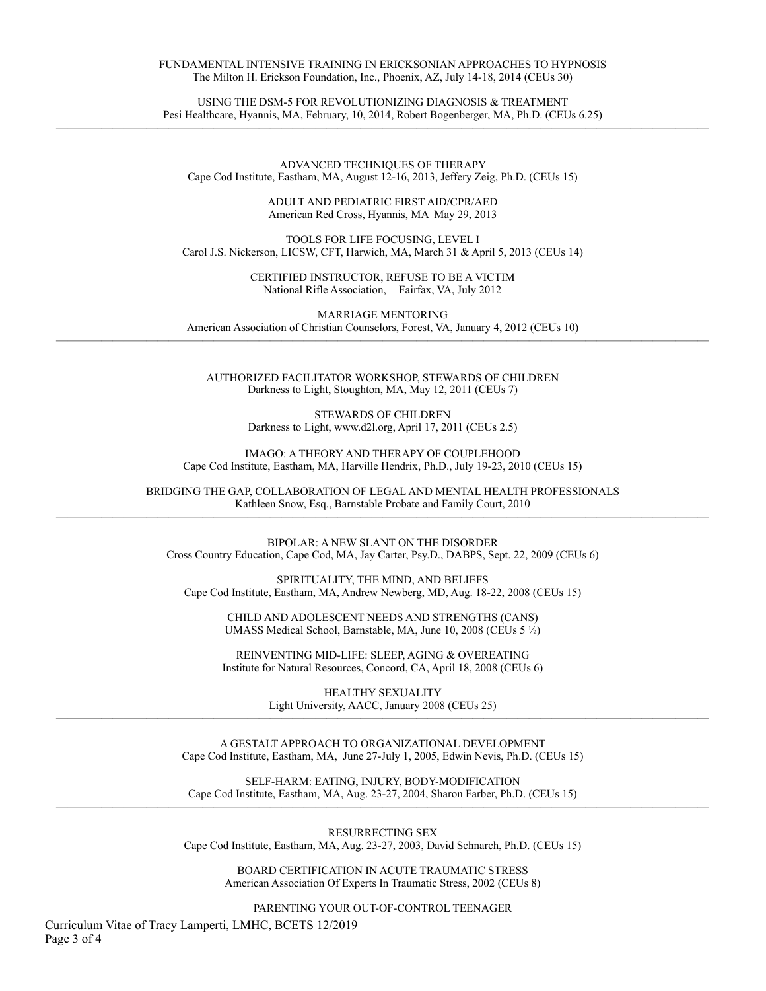#### FUNDAMENTAL INTENSIVE TRAINING IN ERICKSONIAN APPROACHES TO HYPNOSIS The Milton H. Erickson Foundation, Inc., Phoenix, AZ, July 14-18, 2014 (CEUs 30)

USING THE DSM-5 FOR REVOLUTIONIZING DIAGNOSIS & TREATMENT Pesi Healthcare, Hyannis, MA, February, 10, 2014, Robert Bogenberger, MA, Ph.D. (CEUs 6.25) ——————————————————————————————————————————————————————————

> ADVANCED TECHNIQUES OF THERAPY Cape Cod Institute, Eastham, MA, August 12-16, 2013, Jeffery Zeig, Ph.D. (CEUs 15)

> > ADULT AND PEDIATRIC FIRST AID/CPR/AED American Red Cross, Hyannis, MA May 29, 2013

TOOLS FOR LIFE FOCUSING, LEVEL I Carol J.S. Nickerson, LICSW, CFT, Harwich, MA, March 31 & April 5, 2013 (CEUs 14)

> CERTIFIED INSTRUCTOR, REFUSE TO BE A VICTIM National Rifle Association, Fairfax, VA, July 2012

MARRIAGE MENTORING American Association of Christian Counselors, Forest, VA, January 4, 2012 (CEUs 10) ——————————————————————————————————————————————————————————

> AUTHORIZED FACILITATOR WORKSHOP, STEWARDS OF CHILDREN Darkness to Light, Stoughton, MA, May 12, 2011 (CEUs 7)

> > STEWARDS OF CHILDREN Darkness to Light, www.d2l.org, April 17, 2011 (CEUs 2.5)

IMAGO: A THEORY AND THERAPY OF COUPLEHOOD Cape Cod Institute, Eastham, MA, Harville Hendrix, Ph.D., July 19-23, 2010 (CEUs 15)

BRIDGING THE GAP, COLLABORATION OF LEGAL AND MENTAL HEALTH PROFESSIONALS Kathleen Snow, Esq., Barnstable Probate and Family Court, 2010 ——————————————————————————————————————————————————————————

> BIPOLAR: A NEW SLANT ON THE DISORDER Cross Country Education, Cape Cod, MA, Jay Carter, Psy.D., DABPS, Sept. 22, 2009 (CEUs 6)

SPIRITUALITY, THE MIND, AND BELIEFS Cape Cod Institute, Eastham, MA, Andrew Newberg, MD, Aug. 18-22, 2008 (CEUs 15)

> CHILD AND ADOLESCENT NEEDS AND STRENGTHS (CANS) UMASS Medical School, Barnstable, MA, June 10, 2008 (CEUs 5 ½)

> REINVENTING MID-LIFE: SLEEP, AGING & OVEREATING Institute for Natural Resources, Concord, CA, April 18, 2008 (CEUs 6)

HEALTHY SEXUALITY Light University, AACC, January 2008 (CEUs 25) ——————————————————————————————————————————————————————————

> A GESTALT APPROACH TO ORGANIZATIONAL DEVELOPMENT Cape Cod Institute, Eastham, MA, June 27-July 1, 2005, Edwin Nevis, Ph.D. (CEUs 15)

SELF-HARM: EATING, INJURY, BODY-MODIFICATION Cape Cod Institute, Eastham, MA, Aug. 23-27, 2004, Sharon Farber, Ph.D. (CEUs 15) ——————————————————————————————————————————————————————————

> RESURRECTING SEX Cape Cod Institute, Eastham, MA, Aug. 23-27, 2003, David Schnarch, Ph.D. (CEUs 15)

BOARD CERTIFICATION IN ACUTE TRAUMATIC STRESS American Association Of Experts In Traumatic Stress, 2002 (CEUs 8)

PARENTING YOUR OUT-OF-CONTROL TEENAGER

Curriculum Vitae of Tracy Lamperti, LMHC, BCETS 12/2019 Page 3 of 4